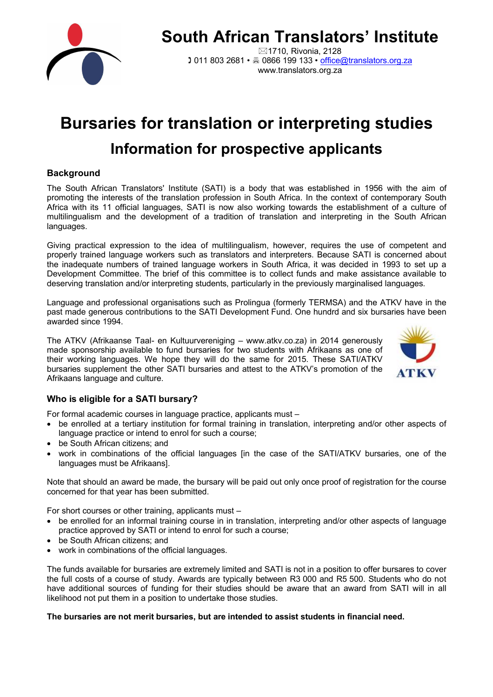

**South African Translators' Institute**

1710, Rivonia, 2128 1 011 803 2681 • **A** 0866 199 133 • office@translators.org.za <www.translators.org.za>

# **Bursaries for translation or interpreting studies Information for prospective applicants**

#### **Background**

The South African Translators' Institute (SATI) is a body that was established in 1956 with the aim of promoting the interests of the translation profession in South Africa. In the context of contemporary South Africa with its 11 official languages, SATI is now also working towards the establishment of a culture of multilingualism and the development of a tradition of translation and interpreting in the South African languages.

Giving practical expression to the idea of multilingualism, however, requires the use of competent and properly trained language workers such as translators and interpreters. Because SATI is concerned about the inadequate numbers of trained language workers in South Africa, it was decided in 1993 to set up a Development Committee. The brief of this committee is to collect funds and make assistance available to deserving translation and/or interpreting students, particularly in the previously marginalised languages.

Language and professional organisations such as Prolingua (formerly TERMSA) and the ATKV have in the past made generous contributions to the SATI Development Fund. One hundrd and six bursaries have been awarded since 1994.

The ATKV (Afrikaanse Taal- en Kultuurvereniging – [www.atkv.co.za\)](www.atkv.co.za) in 2014 generously made sponsorship available to fund bursaries for two students with Afrikaans as one of their working languages. We hope they will do the same for 2015. These SATI/ATKV bursaries supplement the other SATI bursaries and attest to the ATKV's promotion of the Afrikaans language and culture.



### **Who is eligible for a SATI bursary?**

For formal academic courses in language practice, applicants must –

- be enrolled at a tertiary institution for formal training in translation, interpreting and/or other aspects of language practice or intend to enrol for such a course;
- be South African citizens; and
- work in combinations of the official languages [in the case of the SATI/ATKV bursaries, one of the languages must be Afrikaans].

Note that should an award be made, the bursary will be paid out only once proof of registration for the course concerned for that year has been submitted.

For short courses or other training, applicants must –

- be enrolled for an informal training course in in translation, interpreting and/or other aspects of language practice approved by SATI or intend to enrol for such a course;
- be South African citizens; and
- work in combinations of the official languages.

The funds available for bursaries are extremely limited and SATI is not in a position to offer bursares to cover the full costs of a course of study. Awards are typically between R3 000 and R5 500. Students who do not have additional sources of funding for their studies should be aware that an award from SATI will in all likelihood not put them in a position to undertake those studies.

#### **The bursaries are not merit bursaries, but are intended to assist students in financial need.**